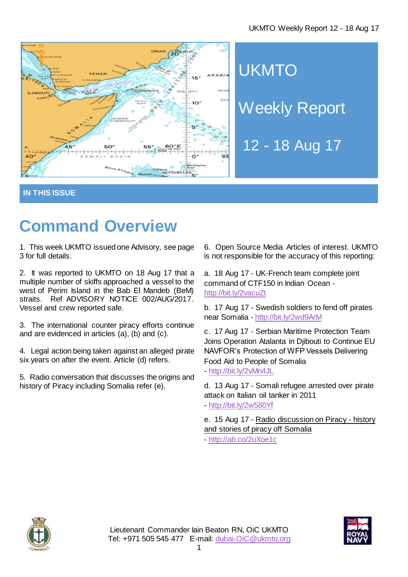

**UKMTO** Weekly Report

12 - 18 Aug 17

**IN THIS ISSUE**

# **Command Overview**

1. This week UKMTO issued one Advisory, see page 3 for full details.

2. It was reported to UKMTO on 18 Aug 17 that a multiple number of skiffs approached a vessel to the west of Perim Island in the Bab El Mandeb (BeM) straits. Ref ADVISORY NOTICE 002/AUG/2017. Vessel and crew reported safe.

3. The international counter piracy efforts continue and are evidenced in articles (a), (b) and (c).

4. Legal action being taken against an alleged pirate six years on after the event. Article (d) refers.

5. Radio conversation that discusses the origins and history of Piracy including Somalia refer (e).

6. Open Source Media Articles of interest. UKMTO is not responsible for the accuracy of this reporting:

a. 18 Aug 17 - UK-French team complete joint command of CTF150 in Indian Ocean <http://bit.ly/2vacuZt>

b. 17 Aug 17 - Swedish soldiers to fend off pirates near Somalia - <http://bit.ly/2wd9ArM>

c. 17 Aug 17 - Serbian Maritime Protection Team Joins Operation Atalanta in Djibouti to Continue EU NAVFOR's Protection of WFP Vessels Delivering Food Aid to People of Somalia - <http://bit.ly/2vMn4JL>

d. 13 Aug 17 - Somali refugee arrested over pirate attack on Italian oil tanker in 2011 - <http://bit.ly/2w580Yf>

e. 15 Aug 17 - Radio discussion on Piracy - history and stories of piracy off Somalia

- <http://ab.co/2uXoe1c>



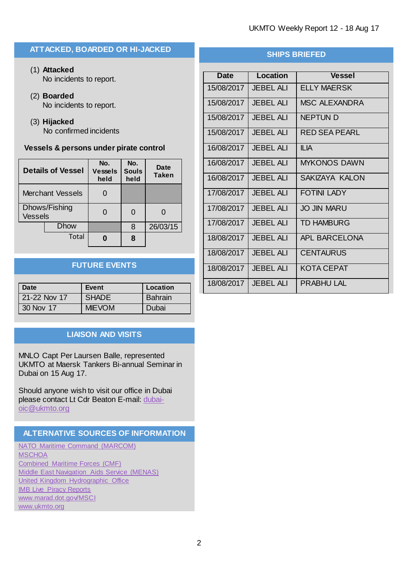## **ATTACKED, BOARDED OR HI-JACKED**

- (1) **Attacked** No incidents to report.
- (2) **Boarded** No incidents to report.
- (3) **Hijacked** No confirmed incidents

## **Vessels & persons under pirate control**

| <b>Details of Vessel</b>        |             | No.<br>Vessels<br>held | No.<br><b>Souls</b><br>held | Date<br><b>Taken</b> |
|---------------------------------|-------------|------------------------|-----------------------------|----------------------|
| <b>Merchant Vessels</b>         |             |                        |                             |                      |
| Dhows/Fishing<br><b>Vessels</b> |             |                        | 0                           |                      |
|                                 | <b>Dhow</b> |                        | 8                           | 26/03/15             |
|                                 | Total       |                        | 8                           |                      |

# **FUTURE EVENTS**

| Date         | Event         | Location       |
|--------------|---------------|----------------|
| 21-22 Nov 17 | <b>SHADE</b>  | <b>Bahrain</b> |
| 30 Nov 17    | <b>MIEVOM</b> | Dubai          |

## **LIAISON AND VISITS**

MNLO Capt Per Laursen Balle, represented UKMTO at Maersk Tankers Bi-annual Seminar in Dubai on 15 Aug 17.

Should anyone wish to visit our office in Dubai please contact Lt Cdr Beaton E-mail: [dubai](mailto:dubai-oic@ukmto.org)[oic@ukmto.org](mailto:dubai-oic@ukmto.org)

# **ALTERNATIVE SOURCES OF INFORMATION**

[NATO Maritime Command](http://www.mc.nato.int/) (MARCOM) **[MSCHOA](http://www.mschoa.org/)** [Combined Maritime Forces \(CMF\)](http://combinedmaritimeforces.com/) [Middle East Navigation Aids Service \(MENAS\)](http://www.menas.org/) [United Kingdom Hydrographic Office](http://www.ukho.gov.uk/security) **[IMB Live Piracy Reports](https://icc-ccs.org/piracy-reporting-centre/live-piracy-report)** [www.marad.dot.gov/MSCI](http://www.marad.dot.gov/MSCI) [www.ukmto.org](http://www.ukmto.org/)

# **SHIPS BRIEFED**

| Date       | Location         | <b>Vessel</b>         |
|------------|------------------|-----------------------|
| 15/08/2017 | <b>JEBEL ALI</b> | <b>ELLY MAERSK</b>    |
| 15/08/2017 | <b>JEBEL ALI</b> | <b>MSC ALEXANDRA</b>  |
| 15/08/2017 | <b>JEBEL ALI</b> | <b>NEPTUN D</b>       |
| 15/08/2017 | <b>JEBEL ALI</b> | <b>RED SEA PEARL</b>  |
| 16/08/2017 | <b>JEBEL ALI</b> | <b>ILIA</b>           |
| 16/08/2017 | <b>JEBEL ALI</b> | <b>MYKONOS DAWN</b>   |
| 16/08/2017 | <b>JEBEL ALI</b> | <b>SAKIZAYA KALON</b> |
| 17/08/2017 | <b>JEBEL ALI</b> | <b>FOTINI LADY</b>    |
| 17/08/2017 | <b>JEBEL ALI</b> | <b>JO JIN MARU</b>    |
| 17/08/2017 | <b>JEBEL ALI</b> | <b>TD HAMBURG</b>     |
| 18/08/2017 | JFBFI ALI        | <b>APL BARCELONA</b>  |
| 18/08/2017 | <b>JEBEL ALI</b> | <b>CENTAURUS</b>      |
| 18/08/2017 | JEBEL ALL        | <b>KOTA CEPAT</b>     |
| 18/08/2017 | <b>JEBEL ALI</b> | PRABHULLAL            |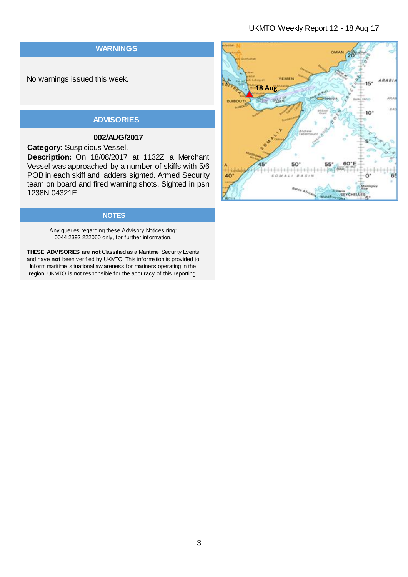#### UKMTO Weekly Report 12 - 18 Aug 17

## **WARNINGS**

No warnings issued this week.

# **ADVISORIES**

## **002/AUG/2017**

**Category:** Suspicious Vessel.

**Description:** On 18/08/2017 at 1132Z a Merchant Vessel was approached by a number of skiffs with 5/6 POB in each skiff and ladders sighted. Armed Security team on board and fired warning shots. Sighted in psn 1238N 04321E.

#### **NOTES**

Any queries regarding these Advisory Notices ring: 0044 2392 222060 only, for further information.

**THESE ADVISORIES** are **not** Classified as a Maritime Security Events and have **not** been verified by UKMTO. This information is provided to Inform maritime situational aw areness for mariners operating in the region. UKMTO is not responsible for the accuracy of this reporting.

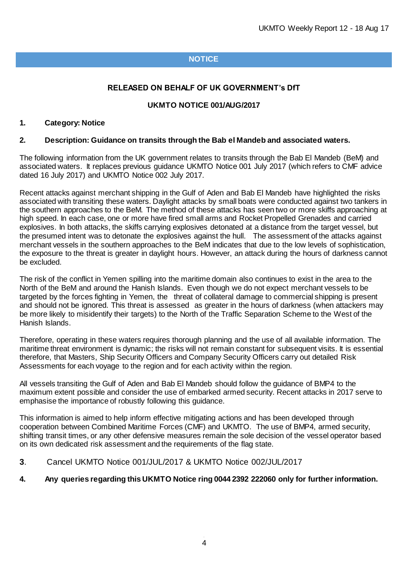# **NOTICE**

## **RELEASED ON BEHALF OF UK GOVERNMENT's DfT**

## **UKMTO NOTICE 001/AUG/2017**

#### **1. Category: Notice**

#### **2. Description: Guidance on transits through the Bab el Mandeb and associated waters.**

The following information from the UK government relates to transits through the Bab El Mandeb (BeM) and associated waters. It replaces previous guidance UKMTO Notice 001 July 2017 (which refers to CMF advice dated 16 July 2017) and UKMTO Notice 002 July 2017.

Recent attacks against merchant shipping in the Gulf of Aden and Bab El Mandeb have highlighted the risks associated with transiting these waters. Daylight attacks by small boats were conducted against two tankers in the southern approaches to the BeM. The method of these attacks has seen two or more skiffs approaching at high speed. In each case, one or more have fired small arms and Rocket Propelled Grenades and carried explosives. In both attacks, the skiffs carrying explosives detonated at a distance from the target vessel, but the presumed intent was to detonate the explosives against the hull. The assessment of the attacks against merchant vessels in the southern approaches to the BeM indicates that due to the low levels of sophistication, the exposure to the threat is greater in daylight hours. However, an attack during the hours of darkness cannot be excluded.

The risk of the conflict in Yemen spilling into the maritime domain also continues to exist in the area to the North of the BeM and around the Hanish Islands. Even though we do not expect merchant vessels to be targeted by the forces fighting in Yemen, the threat of collateral damage to commercial shipping is present and should not be ignored. This threat is assessed as greater in the hours of darkness (when attackers may be more likely to misidentify their targets) to the North of the Traffic Separation Scheme to the West of the Hanish Islands.

Therefore, operating in these waters requires thorough planning and the use of all available information. The maritime threat environment is dynamic; the risks will not remain constant for subsequent visits. It is essential therefore, that Masters, Ship Security Officers and Company Security Officers carry out detailed Risk Assessments for each voyage to the region and for each activity within the region.

All vessels transiting the Gulf of Aden and Bab El Mandeb should follow the guidance of BMP4 to the maximum extent possible and consider the use of embarked armed security. Recent attacks in 2017 serve to emphasise the importance of robustly following this guidance.

This information is aimed to help inform effective mitigating actions and has been developed through cooperation between Combined Maritime Forces (CMF) and UKMTO. The use of BMP4, armed security, shifting transit times, or any other defensive measures remain the sole decision of the vessel operator based on its own dedicated risk assessment and the requirements of the flag state.

**3**. Cancel UKMTO Notice 001/JUL/2017 & UKMTO Notice 002/JUL/2017

#### **4. Any queries regarding this UKMTO Notice ring 0044 2392 222060 only for further information.**